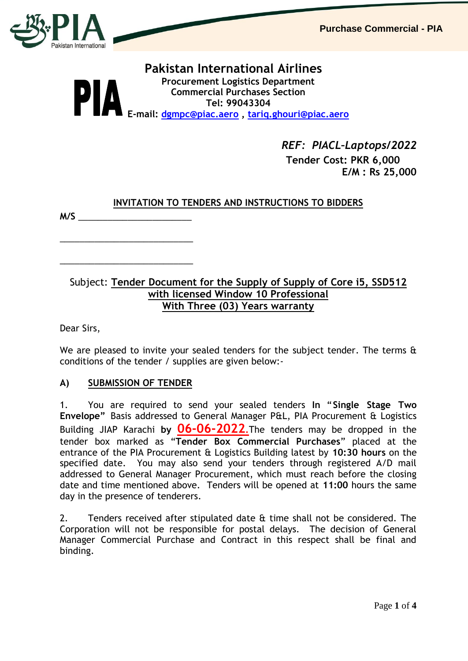

## **Pakistan International Airlines Procurement Logistics Department Commercial Purchases Section Tel: 99043304 E-mail: [dgmpc@piac.aero](mailto:dgmpc@piac.aero) , [tariq.ghouri@piac.aero](mailto:tariq.ghouri@piac.aero)**

 *REF: PIACL–Laptops/2022*  **Tender Cost: PKR 6,000 E/M : Rs 25,000**

## **INVITATION TO TENDERS AND INSTRUCTIONS TO BIDDERS**

**M/S** \_\_\_\_\_\_\_\_\_\_\_\_\_\_\_\_\_\_\_\_\_\_\_

# Subject: **Tender Document for the Supply of Supply of Core i5, SSD512 with licensed Window 10 Professional With Three (03) Years warranty**

Dear Sirs,

We are pleased to invite your sealed tenders for the subject tender. The terms & conditions of the tender / supplies are given below:-

## **A) SUBMISSION OF TENDER**

\_\_\_\_\_\_\_\_\_\_\_\_\_\_\_\_\_\_\_\_\_\_\_\_\_\_\_

\_\_\_\_\_\_\_\_\_\_\_\_\_\_\_\_\_\_\_\_\_\_\_\_\_\_\_

1. You are required to send your sealed tenders **In** "**Single Stage Two Envelope"** Basis addressed to General Manager P&L, PIA Procurement & Logistics Building JIAP Karachi **by 06-06-2022.**The tenders may be dropped in the tender box marked as "**Tender Box Commercial Purchases**" placed at the entrance of the PIA Procurement & Logistics Building latest by **10:30 hours** on the specified date. You may also send your tenders through registered A/D mail addressed to General Manager Procurement, which must reach before the closing date and time mentioned above. Tenders will be opened at **11:00** hours the same day in the presence of tenderers.

2. Tenders received after stipulated date & time shall not be considered. The Corporation will not be responsible for postal delays. The decision of General Manager Commercial Purchase and Contract in this respect shall be final and binding.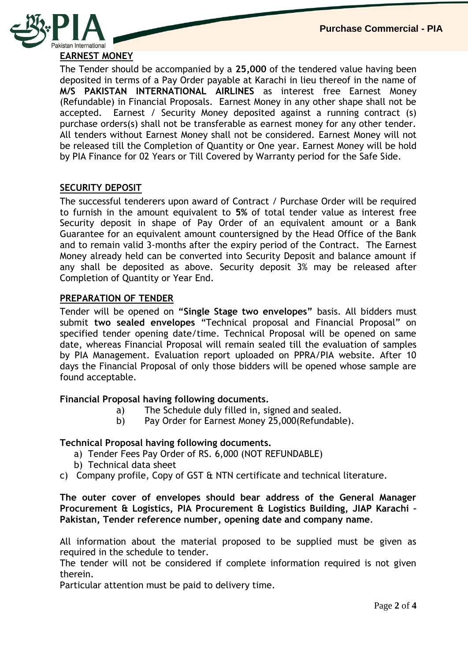

The Tender should be accompanied by a **25,000** of the tendered value having been deposited in terms of a Pay Order payable at Karachi in lieu thereof in the name of **M/S PAKISTAN INTERNATIONAL AIRLINES** as interest free Earnest Money (Refundable) in Financial Proposals. Earnest Money in any other shape shall not be accepted. Earnest / Security Money deposited against a running contract (s) purchase orders(s) shall not be transferable as earnest money for any other tender. All tenders without Earnest Money shall not be considered. Earnest Money will not be released till the Completion of Quantity or One year. Earnest Money will be hold by PIA Finance for 02 Years or Till Covered by Warranty period for the Safe Side.

## **SECURITY DEPOSIT**

The successful tenderers upon award of Contract / Purchase Order will be required to furnish in the amount equivalent to **5%** of total tender value as interest free Security deposit in shape of Pay Order of an equivalent amount or a Bank Guarantee for an equivalent amount countersigned by the Head Office of the Bank and to remain valid 3-months after the expiry period of the Contract. The Earnest Money already held can be converted into Security Deposit and balance amount if any shall be deposited as above. Security deposit 3% may be released after Completion of Quantity or Year End.

#### **PREPARATION OF TENDER**

Tender will be opened on **"Single Stage two envelopes"** basis. All bidders must submit **two sealed envelopes** "Technical proposal and Financial Proposal" on specified tender opening date/time. Technical Proposal will be opened on same date, whereas Financial Proposal will remain sealed till the evaluation of samples by PIA Management. Evaluation report uploaded on PPRA/PIA website. After 10 days the Financial Proposal of only those bidders will be opened whose sample are found acceptable.

#### **Financial Proposal having following documents.**

- a) The Schedule duly filled in, signed and sealed.
- b) Pay Order for Earnest Money 25,000(Refundable).

#### **Technical Proposal having following documents.**

- a) Tender Fees Pay Order of RS. 6,000 (NOT REFUNDABLE)
- b) Technical data sheet
- c) Company profile, Copy of GST & NTN certificate and technical literature.

**The outer cover of envelopes should bear address of the General Manager Procurement & Logistics, PIA Procurement & Logistics Building, JIAP Karachi – Pakistan, Tender reference number, opening date and company name**.

All information about the material proposed to be supplied must be given as required in the schedule to tender.

The tender will not be considered if complete information required is not given therein.

Particular attention must be paid to delivery time.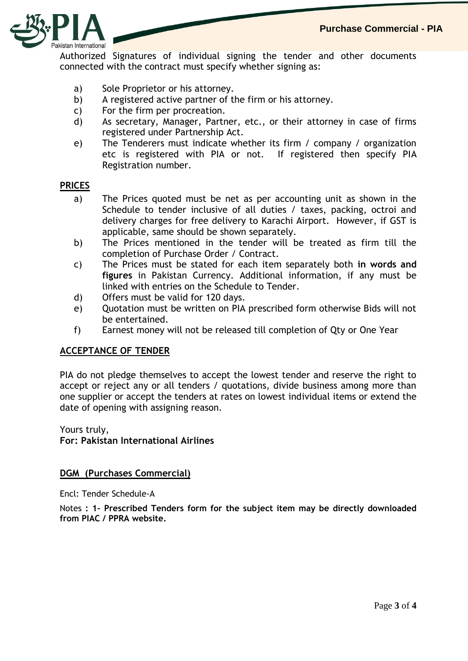

Authorized Signatures of individual signing the tender and other documents connected with the contract must specify whether signing as:

- a) Sole Proprietor or his attorney.
- b) A registered active partner of the firm or his attorney.
- c) For the firm per procreation.
- d) As secretary, Manager, Partner, etc., or their attorney in case of firms registered under Partnership Act.
- e) The Tenderers must indicate whether its firm / company / organization etc is registered with PIA or not. If registered then specify PIA Registration number.

#### **PRICES**

- a) The Prices quoted must be net as per accounting unit as shown in the Schedule to tender inclusive of all duties / taxes, packing, octroi and delivery charges for free delivery to Karachi Airport. However, if GST is applicable, same should be shown separately.
- b) The Prices mentioned in the tender will be treated as firm till the completion of Purchase Order / Contract.
- c) The Prices must be stated for each item separately both **in words and figures** in Pakistan Currency. Additional information, if any must be linked with entries on the Schedule to Tender.
- d) Offers must be valid for 120 days.
- e) Quotation must be written on PIA prescribed form otherwise Bids will not be entertained.
- f) Earnest money will not be released till completion of Qty or One Year

#### **ACCEPTANCE OF TENDER**

PIA do not pledge themselves to accept the lowest tender and reserve the right to accept or reject any or all tenders / quotations, divide business among more than one supplier or accept the tenders at rates on lowest individual items or extend the date of opening with assigning reason.

Yours truly,

**For: Pakistan International Airlines**

#### **DGM (Purchases Commercial)**

Encl: Tender Schedule-A

Notes **: 1- Prescribed Tenders form for the subject item may be directly downloaded from PIAC / PPRA website.**